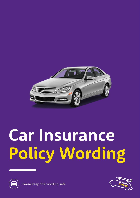

# Car Insurance Policy Wording





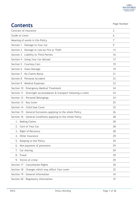

| <b>Contents</b>                                                   | Page Number    |
|-------------------------------------------------------------------|----------------|
| Contract of Insurance                                             | $\overline{2}$ |
| Guide to Cover                                                    | 6              |
| Meaning of words in this Policy                                   | $\overline{7}$ |
| Section 1 - Damage to Your Car                                    | 9              |
| Section 2 - Damage or Loss by Fire or Theft                       | 13             |
| Section 3 - Liability to Third Parties                            | 16             |
| Section 4 - Using Your Car Abroad                                 | 17             |
| Section 5 - Courtesy Cars                                         | 19             |
| Section 6 - Glass Damage                                          | 19             |
| Section 7 - No Claims Bonus                                       | 21             |
| Section 8 - Personal Accident                                     | 23             |
| Section 9 - Medical Expenses                                      | 23             |
| Section 10 - Emergency Medical Treatment                          | 24             |
| Section 11 - Overnight accomodation & transport following a claim | 24             |
| Section 12 - Personal Belongings                                  | 24             |
| Section 13 - Key Cover                                            | 25             |
| Section 14 - Child Seat Cover                                     | 25             |
| Section 15 - General Exclusions applying to the whole Policy      | 26             |
| Section 16 - General Conditions applying to the whole Policy      | 28             |
| 1. Making Claims                                                  | 28             |
| 2. Care of Your Car                                               | 28             |
| 3. Right of Recovery                                              | 28             |
| Other Insurance<br>4.                                             | 29             |
| Keeping to this Policy<br>5.                                      | 29             |
| 6. Non-payment of premuims                                        | 29             |
| Car sharing<br>7.                                                 | 29             |
| 8. Fraud                                                          | 29             |
| 9. Victim of crime                                                | 29             |
| Section 17 - Cancellation Rights                                  | 30             |
| Section 18 - Changes which may affect Your cover                  | 32             |
| Section 19 - General Information                                  | 34             |
| Section 20 - Regulatory information                               | 37             |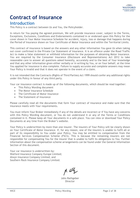# **Contract of Insurance**

### **Introduction**

This Policy is a contract between Us and You, the Policyholder.

In return for You paying the agreed premium, We will provide insurance cover, subject to the Terms, Exceptions, Exclusions, Conditions and Endorsements contained in or endorsed upon this Policy for the cover shown in Your Motor Insurance Schedule for accident, injury, loss or damage that happens during the Period of Insurance shown on Your Certificate of Motor Insurance and within the Territorial Limits.

This contract of insurance is based on the answers and any other information You gave Us when taking out cover confirmed in the Private Car Statement of Insurance. It is an offence under the Road Traffic Act to make a false statement or withhold information for the purposes of obtaining Motor Insurance. You are required by the Consumer Insurance (Disclosure and Representations) Act 2012 to take reasonable care to answer all questions asked honestly, accurately and to the best of Your knowledge and that any other information given either verbally or in writing by You, or on Your behalf, at the time You applied for insurance is also complete. Failure to supply accurate and complete answers may mean Your Policy is invalid and that it does not operate in the event of a claim.

It is not intended that the Contracts (Rights of Third Parties) Act 1999 should confer any additional rights under this Policy in favour of any third party.

Your car insurance contract is made up of the following documents, which should be read together:

- This Policy Wording document
- The Motor Insurance Schedule
- The Certificate of Motor Insurance
- The Statement of Insurance

Please carefully read all the documents that form Your contract of insurance and make sure that the insurance meets with Your requirements.

You must inform Your Broker immediately if any of the details are incorrect or if You have any concerns with this Policy Wording document, or You do not understand it or any of the Terms or Conditions contained in it. Please keep all Your documents in a safe place. You can view or download Your Policy Documents at any time from the Broker's website.

Your Policy is underwritten by more than one insurer. The insurers of Your Policy will be clearly shown on Your Certificate of Motor Insurance. If, for any reason, one of the insurers is unable to fulfil all or part of its responsibility to You under your Policy, You may be entitled to compensation from the Financial Services Compensation Scheme (FSCS). This is because the remaining insurers are not responsible for compensating You for the insurer that is unable to fulfil its obligations to You. Further information about the compensation scheme arrangements can be found under the General Information Section of this document.

Your car insurance is underwritten by: Watford Insurance Company Europe Limited; Alwyn Insurance Company Limited; and Southern Rock Insurance Company Limited.

M why

John Rathgeber Director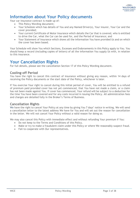

### **Information about Your Policy documents**

Your car insurance contract is made up of:

- This Policy Wording document;
- Your Schedule which has details of You and any Named Driver(s), Your insurer, Your Car and the cover provided;
- Your current Certificate of Motor Insurance which details the Car that is covered, who is entitled to drive the Car, what the Car can be used for, and the Period of Insurance; and
- Your Statement of Insurance which shows all the information You have provided Us and on which the cover has been based.

Your Schedule will show You which Sections, Excesses and Endorsements in this Policy apply to You. You should keep a record (including copies of letters) of all the information You supply Us with, in relation to this insurance.

### **Your Cancellation Rights**

For full details, please see the cancellation Section 17 of this Policy Wording document.

### **Cooling-off Period**

You have the right to cancel this contract of insurance without giving any reason, within 14 days of receiving the Policy documents or the start date of the Policy, whichever is later.

If You exercise Your right to cancel during this initial period of cover, You will be entitled to a refund of premium paid provided cover has not yet commenced, that You have not made a claim, or a claim has not been made against You. If cover has commenced, Your refund will be subject to a deduction for the time You have been covered and for any costs incurred in issuing the Policy. All administration fees and charges are detailed fully in the Broker's Terms of Business.

### **Cancellation Rights**

We have the right to cancel Your Policy at any time by giving You 7 days' notice in writing. We will send a cancellation letter to the latest address We have for You and will set out the reason for cancellation in the letter. We will not cancel Your Policy without a valid reason for doing so.

We may also cancel this Policy with immediate effect and without refunding Your premium if You:

- Do not keep to the Terms and Conditions of this Policy.
- Make or try to make a fraudulent claim under this Policy or where We reasonably suspect fraud.
- Fail to cooperate with Our representatives.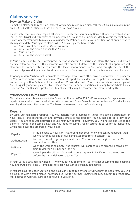

# **Claims service**

### **How to Make a Claim**

To make a claim, or to report an incident which may result in a claim, call the 24-hour Claims Helpline on 0344 840 9503 (Option 4). Lines are open 365 days a year.

Please note that You must report all incidents to Us that you or any Named Driver is involved in no matter how trivial and regardless of blame, within 24 hours of the incident, ideally within the first hour. This is whether You wish to make a claim under the Policy or not. Delay in notification of an incident to Us may invalidate Your right to claim. When You call, please have ready:

- o Your current Certificate of Motor Insurance,
- o Details of the driver if other than Yourself,
- o Your Car; and
- o Details of the incident itself.

If Your claim is due to Theft, attempted Theft or Vandalism You must also inform the police and obtain a crime reference number. Our operators will take down full details of the incident. Our operators will also provide every assistance to ensure the least inconvenience to You, and through the use of the extensive Approved Repairer network, can ensure (if Your cover is relevant) a fast and efficient repair.

If for any reason You have not been able to exchange details with other driver(s) or owner(s) of property or You were in collision with an animal, You must report the accident to the police as soon as possible and certainly within 24 hours of the accident. We will deal with Your claim and claims made against You, as quickly and fairly as possible. Please read the General Conditions Applying to the Whole Policy – Section 16. For Our joint protection, telephone calls may be recorded and monitored by Us.

### **Windscreen Claims Notification**

To make a claim, please contact the Glass Helpline on 0800 955 0108 to arrange for replacement or repair of Your windscreen or windows. Windscreen and Glass Cover is set out in Section 6 of this Policy Wording document. Please ensure You have the relevant cover before claiming.

### **Repairs**

By using Our nominated repairer, You will benefit from a number of things, including a guarantee for Your repairs, and authorisation and payment direct to the repairer. All You need to do is pay Your Excess. You are of course permitted to use Your own repairer, however, You will not be entitled to the benefits shown in the table below and will need to submit repair estimates to Us for authorisation, which may delay the progress of your claim.

| Repairs       | If the damage to Your Car is covered under Your Policy and can be repaired, then<br>We will arrange for one of Our nominated repairers to contact You. |
|---------------|--------------------------------------------------------------------------------------------------------------------------------------------------------|
| Authorisation | You do not need to get any estimates and Your repairs can begin as soon as We<br>have authorised them.                                                 |
| Delivery      | When the work is complete, the repairer will contact You to arrange a convenient<br>time to deliver Your Car back to You.                              |
| Payment       | We will pay the bill. All You need to do is pay any Policy Excess to the repairer<br>before the Car is delivered back to You.                          |

If Your Car is a total loss (a write off), We will ask You to send in Your original documents (for example V5C and MOT certificate). Remember to clear Your Car of personal belongings.

If You are covered under Section 1 and Your Car is repaired by one of Our Approved Repairers, You will be supplied with a small manual hatchback Car while Your Car is being repaired, subject to availability. Full details on Courtesy Cars can be found in Section 5.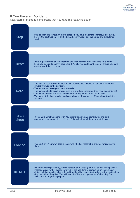

### **If You Have an Accident**

Regardless of blame it is important that You take the following action:

| Stop            | •Stop as soon as possible, in a safe place (if You have a warning triangle, place it well<br>before the obstruction). If anybody has been injured, call the police and ambulance<br>service.                                                                                                                                                                                                                                                    |
|-----------------|-------------------------------------------------------------------------------------------------------------------------------------------------------------------------------------------------------------------------------------------------------------------------------------------------------------------------------------------------------------------------------------------------------------------------------------------------|
| Sketch          | • Make a quick sketch of the direction and final position of each vehicle (it is worth<br>keeping a pen and paper in Your Car). If You have a dashboard camera, ensure you save<br>any footage it has recorded.                                                                                                                                                                                                                                 |
| <b>Note</b>     | •The vehicle registration number, name, address and telephone number of any other<br>drivers involved in the accident.<br>• The number of passengers in each vehicle.<br>•The name and address of anyone who is injured (or suggesting they have been injured).<br>. The name, address and telephone number of any witnesses to the accident.<br>•The name, telephone number and constabulary of any police officer who attends the<br>accident |
| Take a<br>photo | • If You have a mobile phone with You that is fitted with a camera, try and take<br>photographs to support the positions of the vehicles and the extent of damage.                                                                                                                                                                                                                                                                              |
| Provide         | • You must give Your own details to anyone who has reasonable grounds for requesting<br>them.                                                                                                                                                                                                                                                                                                                                                   |
| <b>DO NOT</b>   | . Do not admit responsibility, either verbally or in writing, or offer to make any payment.<br>Instead, ask any other person involved in the accident to contact Us on the 24-hour<br>claims helpline number above. By getting the other person(s) involved in the accident to<br>ring the 24-hour helpline, You will give him/ her the opportunity of obtaining Our<br>assistance in progressing repairs.                                      |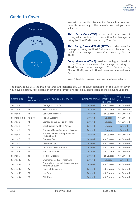

### **Guide to Cover**



You will be entitled to specific Policy features and benefits depending on the type of cover that you have selected.

**Third Party Only (TPO**) is the most basic level of cover, which only affords protection for damage or injury to Third Parties caused by Your Car.

**Third Party, Fire and Theft (TPFT)** provides cover for damage or injury to Third Parties caused by your car, and loss or damage to Your Car caused by Fire or Theft.

**Comprehensive (COMP)** provides the highest level of cover. This includes cover for damage or injury to Third Parties, loss or damage to Your Car caused by Fire or Theft, and additional cover for you and Your Car.

Your Schedule displays the cover you have selected.

The below table lists the main features and benefits You will receive depending on the level of cover You have selected. Full details of cover and limitations are explained in each of the relevant Sections.

| Section(s)     | Page<br>Number(s) | Policy Features & Benefits                               | Comprehensive | <b>Third</b><br>Party, Fire<br>& Theft | Third Party<br>Only |
|----------------|-------------------|----------------------------------------------------------|---------------|----------------------------------------|---------------------|
| Section 1      | 10                | Damage to Your Car                                       | Covered       | Not Covered                            | Not Covered         |
| Section 1      | 12                | New Car Cover                                            | Covered       | Not Covered                            | Not Covered         |
| Section 1      | 12                | <b>Vandalism Promise</b>                                 | Covered       | Not Covered                            | Not Covered         |
| Sections 1 & 2 | 12 & 15           | <b>Repair Guarantee</b>                                  | Covered       | Covered                                | Not Covered         |
| Section 2      | 14                | Damage or loss by Fire or Theft                          | Covered       | Covered                                | Not Covered         |
| Section 3      | 17                | Legal liability to Third Parties                         | Covered       | Covered                                | Covered             |
| Section 4      | 18                | European Union Compulsory Insurance                      | Covered       | Covered                                | Covered             |
| Section 4      | 18                | Full Policy Cover (Comprehensive)<br>whilst abroad       | Covered       | Not Covered                            | Not Covered         |
| Section 5      | 20                | Courtesy Car                                             | Covered       | Not Covered                            | Not Covered         |
| Section 6      | 20                | Glass damage                                             | Covered       | Not Covered                            | Not Covered         |
| Section 7      | 22                | Uninsured Driver Promise                                 | Covered       | Not Covered                            | Not Covered         |
| Section 8      | 24                | Personal accident                                        | Covered       | Not Covered                            | Not Covered         |
| Section 9      | 24                | <b>Medical Expenses</b>                                  | Covered       | Not Covered                            | Not Covered         |
| Section 10     | 25                | <b>Emergency Medical Treatment</b>                       | Covered       | Covered                                | Covered             |
| Section 11     | 25                | Overnight accommodation & transport<br>following a claim | Covered       | Not Covered                            | Not Covered         |
| Section 12     | 25                | Personal Belongings                                      | Covered       | Not Covered                            | Not Covered         |
| Section 13     | 26                | Key Cover                                                | Covered       | Not Covered                            | Not Covered         |
| Section 14     | 26                | Child Seat                                               | Covered       | Not Covered                            | Not Covered         |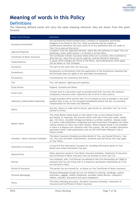

# **Meaning of words in this Policy**

### **Definitions**

The following defined words will carry the same meaning wherever they are shown from this point forward.

| Word/Term/Phrase                    | Definition                                                                                                                                                                                                                                                                                                                                                                                                                                                                                                                                                                                                               |
|-------------------------------------|--------------------------------------------------------------------------------------------------------------------------------------------------------------------------------------------------------------------------------------------------------------------------------------------------------------------------------------------------------------------------------------------------------------------------------------------------------------------------------------------------------------------------------------------------------------------------------------------------------------------------|
| Accessory/Accessories               | Any permanently fitted standard parts, products or equipment specifically<br>designed to be fitted to Your Car. Some accessories may be classed as<br>modifications therefore You must notify Us of any alterations that are made to<br>Your Car as soon as they occur.                                                                                                                                                                                                                                                                                                                                                  |
| Approved Repairer                   | A repairer from Our approved network, whom We will authorise to repair Your Car<br>following a claim under Section 1 or Section 2 of this Policy.                                                                                                                                                                                                                                                                                                                                                                                                                                                                        |
| Certificate of Motor Insurance      | The Certificate of Motor Insurance shows what Car is covered, who is entitled to<br>drive the Car, what the Car can be used for, and the Period of Insurance.                                                                                                                                                                                                                                                                                                                                                                                                                                                            |
| Endorsement(s)                      | A clause which changes the Terms of the Policy. Any Endorsements which apply<br>will be shown on Your Schedule.                                                                                                                                                                                                                                                                                                                                                                                                                                                                                                          |
| Excess(es)                          | The part of the claim that You must pay.                                                                                                                                                                                                                                                                                                                                                                                                                                                                                                                                                                                 |
| Exception(s)                        | Exception(s) to Exclusion(s) limit the application of the Exclusion(s) meaning that<br>the Exclusion does not apply to the described circumstances.                                                                                                                                                                                                                                                                                                                                                                                                                                                                      |
| Exclusion(s)                        | Circumstances not covered by this Policy.                                                                                                                                                                                                                                                                                                                                                                                                                                                                                                                                                                                |
| Fire                                | Fire, self-ignition, lightning and explosion.                                                                                                                                                                                                                                                                                                                                                                                                                                                                                                                                                                            |
| <b>Great Britain</b>                | England, Scotland and Wales.                                                                                                                                                                                                                                                                                                                                                                                                                                                                                                                                                                                             |
| <b>Green Card</b>                   | A Green Card is a document used to provide proof that You have the minimum<br>compulsory insurance cover required by law to drive in that country.                                                                                                                                                                                                                                                                                                                                                                                                                                                                       |
| Indemnity (Indemnified/Indemnify)   | A legal principle which ensures that You are placed as near as possible in the same<br>position after a loss, as You occupied immediately before the loss, by providing<br>compensation for the losses and liabilities.                                                                                                                                                                                                                                                                                                                                                                                                  |
| Key(s)                              | Any Key, device or code used to secure, gain access to, and allow Your Car to be<br>started or driven.                                                                                                                                                                                                                                                                                                                                                                                                                                                                                                                   |
| Market Value                        | The retail Market Value based on that listed in the current Glasses Guide for<br>purchasing, or replacing, the insured vehicle with one of the same make, model,<br>age, trim level, recorded mileage and being in a similar condition. Glasses Guide<br>is a motor trade publication recognised and used extensively throughout the motor<br>vehicle industry to value new/used vehicles. Where Glasses Guide is not available<br>or there is a dispute over valuation with Your insurer, We will consider alternative<br>equivalent motor trade publications such as CAP (CAP Motor Research Ltd) or<br>Parkers Guide. |
| Schedule / Motor Insurance Schedule | The Motor Insurance Schedule provides details of You, any Named Driver(s), Your<br>Car, the cover provided, Endorsements, premium and any Excess that may apply<br>to Your Policy.                                                                                                                                                                                                                                                                                                                                                                                                                                       |
| Statement of Insurance              | A record of the information You gave Us, including information given on Your<br>behalf and verbal information You give.                                                                                                                                                                                                                                                                                                                                                                                                                                                                                                  |
| Named Driver                        | Other person(s) named in Your Motor Insurance Schedule, Statement of Insurance<br>and Certificate of Motor Insurance who are entitled to drive Your Car.                                                                                                                                                                                                                                                                                                                                                                                                                                                                 |
| Partner                             | Your husband, wife, Civil Partner (as defined in the Civil Partnership Act 2004) or<br>someone who You are living with in a long-term permanent relationship as if You<br>are married to them.                                                                                                                                                                                                                                                                                                                                                                                                                           |
| Period of Insurance                 | The period You are insured for, as shown on Your Certificate of Motor Insurance.                                                                                                                                                                                                                                                                                                                                                                                                                                                                                                                                         |
| Personal Belongings                 | Personal Belongings include but are not limited to clothing, handbags, wallets,<br>briefcases, luggage, mobile telephones, portable media devices, computers,<br>tablets, watches, documents and sports equipment.                                                                                                                                                                                                                                                                                                                                                                                                       |
| Policy                              | This Policy Wording document, the Motor Insurance Schedule, Statement of<br>Insurance and Certificate of Motor Insurance.                                                                                                                                                                                                                                                                                                                                                                                                                                                                                                |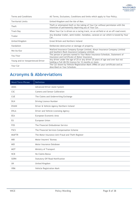

| <b>Terms and Conditions</b>       | All Terms, Exclusions, Conditions and limits which apply to Your Policy.                                                              |
|-----------------------------------|---------------------------------------------------------------------------------------------------------------------------------------|
| <b>Territorial Limits</b>         | United Kingdom and the Isle of Man.                                                                                                   |
| <b>Theft</b>                      | Theft or attempted theft or the taking of Your Car without permission with the<br>intention of permanently depriving you of Your Car. |
| Track Day                         | When Your Car is driven on a racing track, on an airfield or at an off-road event.                                                    |
| Trailer                           | Any drawbar trailer, semi-trailer, horsebox, caravan or car which is towed by Your<br>Car.                                            |
| United Kingdom                    | Great Britain and Northern Ireland                                                                                                    |
| Vandalism                         | Deliberate destruction or damage of property.                                                                                         |
| We/Us/Our                         | Watford Insurance Company Europe Limited, Alwyn Insurance Company Limited<br>and Southern Rock Insurance Company Limited.             |
| You/Your                          | The person or persons named in Your Motor Insurance Schedule, Statement of<br>Insurance and Certificate of Motor Insurance.           |
| Young and/or Inexperienced Driver | Any driver under the age of 25 or any driver 25 years of age and over but not<br>holding a Full UK/EU licence for 12 months or more.  |
| Your Car                          | The Car shown by Vehicle Registration Mark (VRM) on your certificate and as<br>described on Your Schedule.                            |

# **Acronyms & Abbreviations**

| Word/Term/Phrase | Definition                                        |
|------------------|---------------------------------------------------|
| ADAS             | Advanced Driver Assist System                     |
| <b>CSC</b>       | Camera and Sensor Calibration                     |
| <b>CUE</b>       | The Claims and Underwriting Exchange              |
| <b>DLN</b>       | Driving Licence Number                            |
| <b>DVANI</b>     | Driver & Vehicle Agency Northern Ireland          |
| <b>DVLA</b>      | Driver and Vehicle Licensing Agency               |
| EEA              | European Economic Area                            |
| <b>EU</b>        | European Union                                    |
| <b>FOS</b>       | The Financial Ombudsman Service                   |
| <b>FSCS</b>      | The Financial Services Compensation Scheme        |
| <b>MIAFTR</b>    | The Motor Insurance Anti-Fraud and Theft Register |
| <b>MIB</b>       | Motor Insurers' Bureau                            |
| <b>MID</b>       | Motor Insurance Database                          |
| <b>MOT</b>       | Ministry of Transport                             |
| <b>NCB</b>       | No Claims Bonus                                   |
| <b>SORN</b>      | <b>Statutory Off Road Notification</b>            |
| <b>UK</b>        | United Kingdom                                    |
| <b>VRM</b>       | Vehicle Registration Mark                         |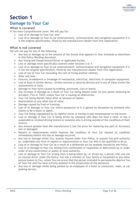### **Damage to Your Car**

### **What is covered**

If You have Comprehensive cover, We will pay for:

- Loss of or damage to Your Car; and
- Loss of or damage to Your in-car entertainment, communication and navigation equipment if it is the original specification, fitted by the manufacturer/dealer from first registration.

### **What is not covered**

We will not pay for any of the following:

- Any loss or damage up to the amount of the Excess that appears in Your Schedule or elsewhere in this Policy Wording document.
- Any Young and Inexperienced Driver or applicable Excess.
- Loss or damage more specifically covered under Sections 2 or 3.
- Loss of or damage to Your in-car entertainment, communication and navigation equipment if it is not the original specification, fitted by the manufacturer/dealer from first registration.
- Loss of use of Your Car (including the cost of hiring another vehicle).
- Wear and tear.
- Failures, breakdowns or breakage of mechanical, electrical, electronic or computer equipment.
- Loss of Keys or similar device, remote controls or security devices and in any of these events the replacement of locks.
- Damage to Your tyres caused by braking, punctures, cuts or bursts.
- Any increase in damage as a result of Your Car being moved under its own power following an Accident, Fire or Theft, unless Your Car is causing an obstruction.
- Your Car losing Market Value after or because of repairs.
- Depreciation or any other loss of value.
- Damage caused by frost or freezing.
- Loss of or damage to Your Car where possession of it is gained by deception by someone who claims to be a buyer or agent.
- Your Car being repossessed by its rightful owner or having to pay compensation to the owner.
- Loss or damage if Your Car is being driven by someone who does not hold a valid, or has a suspended or revoked driving licence or someone who is driving outside of the conditions of their licence.
- Any amount greater than the manufacturer's last list price for replacing any part or Accessory lost or damaged.
- Repairs or replacements which improve the condition of Your Car beyond its condition immediately before the loss or damage occurred.
- Any loss or damage whilst You, anyone insured under Your Policy, or anyone You give authority to, undertakes any form of repairs or improvements to Your Car who is not qualified to do so.
- Loss of or damage to Your Car as a result of a deliberate act by anybody insured by the Policy.
- Loss of or damage to Your Car arising from confiscation or requisition or destruction by or under order of any Government or public or local authority.
- Loss or damage to Your Car arising from it being taken by, or driven by, a person who was not an insured driver under the Policy, but was a member of Your family or household or any other person known to You, unless You can prove that the person intended to permanently deprive You of Your Car and You have actively assisted in the prosecution of the person(s).
- Any loss or damage whilst being parked by an employee of a hotel or restaurant, valet, or car parking service.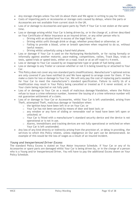

- Any storage charges unless You tell Us about them and We agree in writing to pay for them.
- Costs of importing parts or Accessories or storage costs caused by delays, where the parts or Accessories are not available from current stock in the UK.
- Loss of or damage to Accessories and spare parts by Theft if Your Car is not stolen at the same time.
- Loss or damage arising whilst Your Car is being driven by, or in the charge of, a driver described on Your Certificate of Motor Insurance as an insured driver, or any other person who is:
	- o Driving with an alcohol level in excess of the legal limit; or
	- o Driving whilst unfit through drink or drugs; whether prescribed or otherwise; or
	- o Failing to provide a blood, urine or breath specimen when required to do so, without lawful reason;
	- o Driving whilst unlawfully using a hand-held phone.
- Loss or damage if Your Car is used on the Nurburgring Nordschleife, or for racing formally or informally against another motorist, pace-making, competitions, rallies, Track Days, trials or tests, speed trials or speed tests, either on a road, track or at an off-road 4 x 4 event.
- Loss or damage to Your Car caused by an inappropriate type or grade of fuel being used.
- Loss or damage to any Trailer or caravan whether or not it is being towed by or attached to Your Car.
- This Policy does not cover any non-standard parts (modifications). Manufacturer's optional extras are only covered if you have notified Us and We have agreed to arrange cover for them. If You make a claim for loss or damage to Your Car, We will only pay the cost of replacing parts needed for Your Car to meet the manufacturer's standard specification. Failure to notify Us of a modification may result in Your Policy being cancelled or treated as if it never existed, or in Your claim being rejected or not fully paid.
- Loss of or damage to Your Car as a result of malicious damage/Vandalism, where the Police refuse to issue a crime reference number, however the issuing of a crime reference number will not guarantee settlement of a claim.
- Loss of or damage to Your Car or Accessories, whilst Your Car is left unattended, arising from Theft, attempted Theft, malicious damage or Vandalism when:
	- o the ignition keys have been left in or on Your Car; or
	- o Your Car has not been secured by means of door and boot lock; or
	- o any window or any form of sliding or removable roof or hood have been left open or unlocked; or
	- o Your Car is fitted with a manufacturer's standard security device and the device is not operational or is not in use.
	- $\circ$  Alarms, immobilisers and tracking devices are not fully operational or switched on when Your Car is left unattended.
- Any loss of any kind directly or indirectly arising from the provision of, or delay in providing, the services to which this Policy relates, unless negligence on Our part can be demonstrated. An example of this would be the loss of wages as a result of an insured incident.

### *Young and Inexperienced Driver Excess*

The standard Policy Excess is stated on Your Motor Insurance Schedule. If Your Car or any of its Accessories or spare parts are damaged whilst Your Car is being driven by, or in the charge of a person who is a Young and/or Inexperienced Driver, You will have to pay the additional Excess shown on Your Policy Schedule.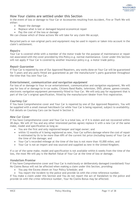

### **How Your claims are settled under this Section**

In the event of loss or damage to Your Car or Accessories resulting from Accident, Fire or Theft We will either:

- Repair the damage
- Replace what is lost or damaged beyond economical repair
- Pay the cost of the loss or damage

We can choose which of these actions We will take for any claim We accept.

Recycled parts or non-original parts and equipment may be used in repairs or taken into account in the claim's settlement.

### *Repairs*

Your Car is covered while with a member of the motor trade for the purpose of maintenance or repair not associated with the cover provided by this Policy e.g. normal maintenance. Cover under this Section will not apply if Your Car is covered by another insurance policy e.g. a motor trade policy.

#### *Repair Guarantee*

If Your Car is repaired by one of Our Approved Repairers, any works done on Your Car will be guaranteed for 5 years and any parts fitted are guaranteed as per the manufacturer's parts guarantee throughout the time that You own Your Car.

#### *Entertainment, communication and navigation equipment*

For loss of or damage to Your in-car entertainment, communication and navigation equipment, We will pay for loss of or damage to in-car audio, Citizens Band Radio, television, DVD, phone, games-console, electronic navigation equipment permanently fitted to Your Car. We will only pay for equipment that is part of the Car's original specification, fitted by the manufacturer/dealer from first registration.

### *Courtesy Car*

If You have Comprehensive cover and Your Car is repaired by one of Our Approved Repairers, You will be supplied with a small manual hatchback Car while Your Car is being repaired, subject to availability. Full details on Courtesy Cars can be found in Section 5.

### *New Car Cover*

If You have Comprehensive cover and Your Car is a total loss, or if it is stolen and not recovered within 28 days, We will (if You and any other interested parties agree) replace it with a new Car of the same make, model and specification as long as:

- You are the first and only registered keeper and legal owner; and
- within 12 months of it being registered as new, Your Car suffers damage where the cost of repair is estimated by Us to be more than 69% of the current list price (including taxes) of Your Car at the time of the damage; and
- Your Car's recorded mileage at the time of the loss is not more than 10,000 miles; and
- Your Car is not an import and was sourced and supplied as new in the United Kingdom;

If a car of the same make, model and specification is not available within 6 weeks from the time of the loss, the most We will pay is the Market Value of Your Car at the time of loss or damage.

### *Vandalism Promise*

If You have Comprehensive cover and Your Car is maliciously or deliberately damaged (vandalised) Your No Claims Bonus will not be affected when making a claim under this Section, providing:

- You pay the Excess shown on Your Policy Schedule; and
- You report the incident to the police and provide Us with the crime reference number.

If You make a claim under this Section and You do not report the act of Vandalism to the police and provide Us with the crime reference number, Your No Claims Bonus may be affected.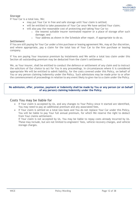

### *Storage*

If Your Car is a total loss, We:

- may put Your Car in free and safe storage until Your claim is settled;
- will be entitled to take possession of Your Car once We have settled Your claim;
- will also pay the reasonable cost of protecting and taking Your Car to:
	- $\circ$  the nearest suitable insurer nominated repairer or a place of storage after such damage; and
	- o Your address as shown in the Schedule after repair, if appropriate to do so.

### *Settlement*

If You are still paying for Your Car under a hire purchase or leasing agreement We, may at Our discretion, and where appropriate, pay a claim for the total loss of Your Car to the hire purchase or leasing company.

If You are paying Your insurance premium by instalments and We settle a total loss claim under this Section all outstanding premium may be deducted from the claim's settlement.

We, as Your insurer, shall be entitled to conduct the defence or settlement of any claim and to instruct the solicitors of Our choice to act for You in any proceedings. In circumstances where it is considered appropriate We will be entitled to admit liability, for the costs covered under this Policy, on behalf of You or any person claiming Indemnity under the Policy. Such admissions may be made prior to or after the commencement of proceedings in relation to any event likely to give rise to a claim under the Policy.

### **No admission, offer, promise, payment or Indemnity shall be made by You or any person (or on behalf of any person) claiming Indemnity under the Policy.**

### **Costs You may be liable for**

- If Your claim is accepted by Us, and any changes to Your Policy since it started are identified, You may need to pay an additional premium and any associated fees.
- If Your claim is settled on a total loss basis and You do not replace Your Car under this Policy, You will be liable to pay Your full annual premium, for which We reserve the right to deduct from Your claims settlement.

If Your claim is not accepted by Us, You may be liable to repay costs already incurred by Us. These may include, but are not limited to engineers' fees, vehicle recovery charges, and vehicle storage charges.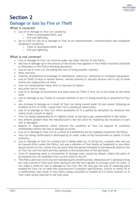

# **Damage or loss by Fire or Theft**

### **What is covered**

- Loss of or damage to Your Car caused by:
	- o Theft or attempted theft; and
	- o Fire and lightning.
- Up to £100 for loss of or damage to Your in-car entertainment, communication and navigation equipment caused by:
	- o Theft or attempted theft; and
	- o Fire and lightning.

### **What is not covered**

- Loss or damage to Your Car covered under any other Section of this Policy.
- Any loss or damage up to the amount of the Excess that appears in Your Motor Insurance Schedule or elsewhere in this Policy Wording document.
- Loss of use of Your Car (including the cost of hiring another vehicle).
- Wear and tear.
- Failures, breakdowns or breakage of mechanical, electrical, electronic or computer equipment.
- Loss or Theft of keys or similar device, remote controls or security devices and in any of these events the replacement of locks.
- Your Car losing Market Value after or because of repairs.
- Any other loss of value.
- Loss of or damage to Accessories and spare parts by Theft if Your Car is not stolen at the same time.
- Loss or damage to any Trailer or caravan whether or not it is being towed by or attached to Your Car.
- Any increase in damage as a result of Your Car being moved under its own power following an incident of Fire or Theft, unless Your Car is causing an obstruction.
- Loss of or damage to Your Car where possession of it is gained by deception by someone who claims to be a buyer or agent.
- Your Car being repossessed by its rightful owner or having to pay compensation to the owner.
- Any amount greater than the manufacturer's last list price for replacing any Accessory or part lost or damaged.
- Repairs or replacements which improve the condition of Your Car beyond its condition immediately before the loss or damage occurred.
- Loss of or damage to Your Car as a result of a deliberate act by anybody insured by the Policy.
- Your Car being confiscated or destroyed by or under order of any Government or public or local authority.
- Loss or damage to Your Car arising from it being taken by, or driven by, a person who was not an insured driver under the Policy, but was a member of Your family or household or any other person known to You, unless You can prove that the person intended to permanently deprive You of Your Car and You have actively assisted in the prosecution of the person(s).
- Costs of importing parts or Accessories or storage costs caused by delays, where the parts or Accessories are not available from current stock in the UK.
- This Policy does not cover any non-standard parts (modifications). Manufacturer's optional extras are only covered if they have been declared and We have agreed to arrange cover for them. If You make a claim for loss or damage to Your Car, We will only pay the cost of replacing parts needed for Your Car to meet the manufacturer's standard specification. Failure to notify Us of a modification may result in Your Policy being cancelled or treated as if it never existed, or in Your claim being rejected or not fully paid.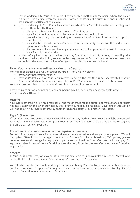

- Loss of or damage to Your Car as a result of an alleged Theft or alleged arson, where the Police refuse to issue a crime reference number, however the issuing of a crime reference number will not guarantee settlement of a claim.
- Loss of or damage to Your Car or its Accessories, whilst Your Car is left unattended, arising from Theft or attempted Theft when:
	- o the ignition keys have been left in or on Your Car; or
	- o Your Car has not been secured by means of door and boot lock; or
	- o any window or any form of sliding or removable roof or hood have been left open or unlocked; or
	- o Your Car is fitted with a manufacturer's standard security device and the device is not operational or is not in use.
	- o Alarms, immobilisers and tracking devices are not fully operational or switched on when Your Car is left unattended.
- Any loss of any kind directly or indirectly arising from the provision of, or delay in providing, the services to which this Policy relates, unless negligence on Our part can be demonstrated. An example of this would be the loss of wages as a result of an insured incident.

### **How Your claims are settled under this Section**

For loss of or damage to Your Car caused by Fire or Theft We will either:

- pay for any necessary repairs; or
- pay the Market Value of Your Car immediately before the loss (this is not necessarily the value You declared when the insurance was taken out) if Your Car is determined as a total loss.

We can choose which of these actions We will take for any claim We accept.

Recycled parts or non-original parts and equipment may be used in repairs or taken into account in the claim's settlement.

### *Repairs*

Your Car is covered while with a member of the motor trade for the purpose of maintenance or repair not associated with the cover provided by this Policy e.g. normal maintenance. Cover under this Section will not apply if Your Car is covered by another insurance policy e.g. a motor trade policy.

### *Repair Guarantee*

If Your Car is repaired by one of Our Approved Repairers, any works done on Your Car will be guaranteed for 5 years and any parts fitted are guaranteed as per the manufacturer's parts guarantee throughout the time that You own Your Car.

#### *Entertainment, communication and navigation equipment*

For loss of or damage to Your in-car entertainment, communication and navigation equipment, We will pay up to £100 for loss of or damage to in-car audio, Citizens Band Radio, television, DVD, phone, gamesconsole, electronic navigation equipment permanently fitted to Your Car. We will only pay for equipment that is part of the Car's original specification, fitted by the manufacturer/dealer from first registration.

#### *Storage*

If Your Car is a total loss, We may put it in free and safe storage until Your claim is settled. We will also be entitled to take possession of Your Car once We have settled Your claim.

We will also pay the reasonable cost of protection and taking Your Car to the nearest suitable insurer nominated repairer or a place of storage after such damage and where appropriate returning it after repair to Your address as shown in the Schedule.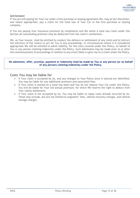### *Settlement*

If You are still paying for Your Car under a hire purchase or leasing agreement We, may at Our discretion, and where appropriate, pay a claim for the total loss of Your Car to the hire purchase or leasing company.

If You are paying Your insurance premium by instalments and We settle a total loss claim under this Section all outstanding premium may be deducted from the claim's settlement.

We, as Your insurer, shall be entitled to conduct the defence or settlement of any claim and to instruct the solicitors of Our choice to act for You in any proceedings. In circumstances where it is considered appropriate We will be entitled to admit liability, for the costs covered under this Policy, on behalf of You or any person claiming Indemnity under the Policy. Such admissions may be made prior to or after the commencement of proceedings in relation to any event likely to give rise to a claim under the Policy.

### **No admission, offer, promise, payment or Indemnity shall be made by You or any person (or on behalf of any person) claiming Indemnity under the Policy.**

### **Costs You may be liable for**

- If Your claim is accepted by Us, and any changes to Your Policy since it started are identified, You may be liable for any additional premium and associated fees.
- If Your claim is settled on a total loss basis and You do not replace Your Car under this Policy, You will be liable for Your full annual premium, for which We reserve the right to deduct from Your claims settlement.
- If Your claim is not accepted by Us, You may be liable to repay costs already incurred by Us. These may include, but are not limited to engineers' fees, vehicle recovery charges, and vehicle storage charges.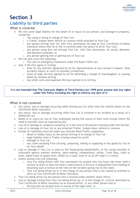

## **Liability to third parties**

### **What is covered**

- We will cover legal liability for the death of or injury to any person, and damage to property, caused by:
	- o You using or being in charge of Your Car;
	- o a Trailer, broken-down vehicle or caravan while attached to Your Car;
	- $\circ$  any person driving Your Car with Your permission (as long as Your Certificate of Motor Insurance shows that he or she is covered under the policy to drive Your Car);
	- o any person using (but not driving) Your Car, with Your permission, for social, domestic and pleasure purposes; or
	- o any person getting into or getting out of Your Car.
- We will also cover the following:
	- o The cost of emergency treatment under the Road Traffic Act.
- And, if We first agree in writing:
	- o Fees for any solicitor appointed by Us for representation at any coroner's inquest, fatal accident inquiry or court of summary jurisdiction.
	- $\circ$  Costs of legal services agreed by Us for defending a charge of manslaughter or causing death by reckless driving.
	- o Any other costs and expenses We have agreed to in writing.

### **It is not intended that The Contracts (Rights of Third Parties) Act 1999 gives anyone else any rights under this Policy including the right to enforce any part of it.**

### **What is not covered**

- Any injury, loss or damage occurring while driving any Car other than the vehicle shown on the Certificate Motor Insurance.
- Any injury, loss or damage occurring while Your Car is involved in an incident as a result of a deliberate act.
- Death of or injury to, any of Your employees during the course of their work except where We need to provide cover as required by law.
- Loss of or damage to, property owned by or in the care of the person claiming under this Section.
- Loss of or damage to Your Car or any attached Trailer, broken-down vehicle or caravan.
- Except for liabilities incurred under any relevant Road Traffic Legislation:
	- o death or bodily injury to the person driving or in charge of Your Car
	- $\circ$  legal liability when a Trailer is being towed for profit
	- o damage to Your Car
	- $\circ$  any claim resulting from carrying, preparing, selling or supplying of any goods by You or on Your behalf.
- Loss or damage if Your Car is used on the Nurburgring Nordschleife, or for racing formally or informally against another motorist, pace-making, competitions, rallies, Track Days, trials or tests, speed trials or speed tests, either on a road, track or at an off-road 4 x 4 event.
- Claims arising from the following:
	- $\circ$  Your Car being driven with Your permission by anyone who You know has never held a licence to drive or does not hold a valid licence to drive or is disqualified from holding or obtaining such a licence at the time of the incident giving rise to the claim.
	- $\circ$  Your Car being driven by or in the charge of any person who is not named as entitled to drive on Your Certificate of Motor Insurance.
- Your Car being driven by any person who is insured under another motor Policy.
- Loss or damage arising from Your Car being driven by, or in the charge of, a driver described on Your Certificate of Motor Insurance as an insured driver, or any other person who is:
	- o Driving with an alcohol level in excess of the legal limit; or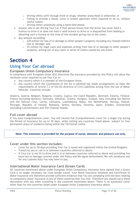

- o Driving whilst unfit through drink or drugs; whether prescribed or otherwise; or
- o Failing to provide a blood, urine or breath specimen when required to do so, without lawful reason;
- o Driving whilst unlawfully using a hand held phone.
- Anyone who is not driving Your Car if that person knows that the driver has never held a licence to drive it or does not hold a valid licence to drive or is disqualified from holding or obtaining such a licence at the time of the incident giving rise to the claim.
- Any amount exceeding:
	- $\circ$  £20 million for loss of or damage to other people's property including any related indirect loss or damage; and
	- $\circ$  £5 million for legal costs and expenses arising from loss of or damage to other people's property; arising out of any claim or series of claims caused by one event.

### **Using Your Car abroad**

### **European Union Compulsory Insurance**

In compliance with European Union (EU) directives the insurance provided by this Policy will allow the minimum cover required to use Your Car in:

- Any country which is a member of the European Union.
- Any country which the Commission of the EU is satisfied has made arrangements to meet the requirements of Article 7.2 of the EU directive of Civil Liabilities arising from the use of Motor Vehicles. Countries include:

Andorra, Austria, Belgium, Bulgaria, Croatia, Cyprus, the Czech Republic, Denmark, Estonia, Finland, France (including Monaco), Germany, Gibraltar, Greece, Hungary, Iceland, Italy (including San Marino and the Vatican City), Latvia, Lithuania, Luxembourg, Malta, the Netherlands, Norway, Poland, Portugal, Republic of Ireland, Romania, Serbia, Slovakia, Slovenia, Spain, Sweden, Switzerland (including Liechtenstein) and The Channel Islands.

### **Full cover abroad**

If You have Comprehensive cover, You will receive full (Comprehensive) cover for a single trip during the Period of Insurance for up to 30 days, while visiting any countries listed above, subject to Your permanent place of residence being within the Territorial Limits.

#### **Note: This extension is provided for the purpose of social, domestic and pleasure use only.**

### **Cover under this section includes:**

- Cover for up to 30 days providing Your Car is taxed and registered within the United Kingdom.
- Transit by sea or rail in or between countries referred to above.
- If Your Car is not fit to drive and is in or between countries referred to above and providing You have loss or damage covered under this Policy and We agree beforehand, We will reimburse you for any customs duty You may have to pay.

### **International Motor Insurance Card (Green Card)**

All countries mentioned above under European Union Compulsory Insurance have agreed that a Green Card is no longer necessary for cross border travel. Your Motor Insurance Schedule and Certificate of Motor Insurance will therefore provide sufficient evidence that You are complying with the laws relating to compulsory motor insurance in any of these countries that You visit. Therefore you should carry these documents with you when travelling in the countries mentioned above. There is no automatic cover other than for the countries listed under European Union Compulsory Insurance above.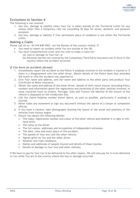

### **Exclusions to Section 4**

The following is not covered:

- 1. Any loss, damage or liability when Your Car is taken outside of the Territorial Limits for any reason other than a temporary visit not exceeding 30 days for social, domestic and pleasure purposes
- 2. Any loss, damage or liability if Your permanent place of residence is not within the Territorial Limits

### **Making a Claim**

Please call Us on +44 344 840 9503, not the Bureau of the country visited, if:

- You need to report an incident while You are outside of the UK;
	- You have Comprehensive cover and You wish to make a claim for:
		- (a) Loss or damage to Your Car; or
		- (b) Personal injuries not covered by the Compulsory Third Party Insurance Law in force in the country where the accident occurred.

### *If You have an accident abroad:*

- 1. Immediately report the accident to the Police if anybody involved in the incident is injured or if there is a disagreement with the other driver. Obtain details of the Police team that attended the scene or who the accident was reported to.
- 2. Give Your name and address, and Our name and address to the other party and produce Your Certificate of Motor Insurance.
- 3. Obtain the name and address of the other driver, details of their motor insurer (including Policy number) and information about the registration and ownership of the other vehicles involved. In some countries (such as Greece, Portugal, Italy and France) the identity of the insurer of the vehicle is displayed on the windscreen disc.
- 4. Call the claims helpline number shown above, as soon as possible, particularly if anybody is injured.
- 5. Never make any statement or sign any document without the advice of a lawyer or competent official.
- 6. If You have a camera, take photographs showing the layout of the scene and positions of the vehicles from various angles.
- 7. Ensure You obtain the following details:
	- The make, registration number and colour of the other vehicle and whether it is right or lefthand drive.
	- The name of the driver
	- The full names, addresses and occupations of independent witnesses.
	- The date, time and exact place of the accident.
	- The speeds of Your own and the other vehicle.
	- Signals given by You and the other driver.
	- Weather and road conditions.
	- Names and addresses of people injured and details of those injuries.
	- Details of damage to Your own and other vehicles.

If We have to pay for Your Car to be delivered to You after repairs, We will only pay for it to be delivered to You while You are in the country where the loss or damage occurred.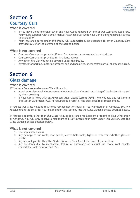### **Courtesy Cars**

### **What is covered**

- If You have Comprehensive cover and Your Car is repaired by one of Our Approved Repairers, You will be supplied with a small manual hatchback Car while Your Car is being repaired, subject to availability.
- Your insurance cover under this Policy will automatically be extended to cover Courtesy Cars provided by Us for the duration of the agreed period.

### **What is not covered**

- Courtesy Cars are not provided if Your Car is stolen or determined as a total loss.
- Courtesy Cars are not provided for incidents abroad.
- Any other hire Car will not be covered under this Policy.
- Any fines for parking, motoring offences or fixed penalties, or congestion or toll charges incurred.

# **Section 6**

### **Glass damage**

### **What is covered**

If You have Comprehensive cover We will pay for:

- a broken or damaged windscreen or windows in Your Car and scratching of the bodywork caused by them breaking.
- if Your Car is fitted with an Advanced Driver Assist System (ADAS), We will also pay for Camera and Sensor Calibration (CSC) if required as a result of the glass repairs or replacement.

If You use Our Glass Helpline to arrange replacement or repair of Your windscreen or windows, You will receive unlimited cover for Your claim under this Section, less the Glass Damage Excess detailed below.

If You use a repairer other than Our Glass Helpline to arrange replacement or repair of Your windscreen or windows, You will only receive a maximum of £100 towards Your claim under this Section, less the Glass Damage Excess detailed below.

### **What is not covered**

- 1. The applicable Excess
- 2. Any damage to sun roofs, roof panels, convertible roofs, lights or reflectors whether glass or plastic.
- 3. Any amount greater than the Market Value of Your Car at the time of the incident.
- 4. Any incidents due to mechanical failure of automatic or manual sun roofs, roof panels, convertible roofs or ADAS and CSC.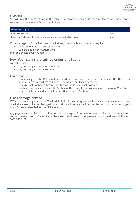

### *Excesses*

You will pay the Excess shown in the table below towards each claim for a replacement windscreen or windows, or Camera and Sensor Calibration.

| <b>Glass Damage Excess</b>                                          |            |
|---------------------------------------------------------------------|------------|
| Replacement only                                                    | <b>f75</b> |
| Repair or Replacement requiring Camera and Sensor Calibration (CSC) | £150       |

If the damage to Your windscreen or windows is repairable and does not require:

- replacement windscreen or window; or
- Camera and Sensor Calibration;

then the Excess does not apply.

### **How Your claims are settled under this Section**

We will either:

- pay for the glass to be repaired; or
- pay for the glass to be replaced.

### *Conditions*

- 1. No claim against this Policy will be considered if reported more than thirty days after the expiry of Your Policy, regardless of the date on which the damage occurred.
- 2. Damage that happened before the start of the Policy is not covered.
- 3. No claims can be made under this Section of the Policy for acts of malicious damage or Vandalism. Claims for these incidents shall be dealt with under Section 1.

### **Glass damage abroad**

If You are travelling outside the Territorial Limits (United Kingdom and Isle of Man) and Your windscreen or windows are broken or damaged, Your claim shall be dealt with under Section 1 and may be subject to an Excess as detailed in Your Schedule.

Any payment under Section 1 solely for the breakage of Your windscreen or windows shall not affect any entitlements to No Claims Bonus. To make a windscreen claim please contact the Glass Helpline on: 0800 955 0108.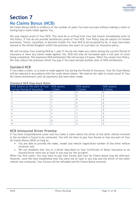### **No Claims Bonus (NCB)**

No Claims Bonus (NCB) is evidence of the number of years You have accrued without making a claim or having had a claim made against You.

We may require proof of Your NCB. This must be in writing from Your last insurer immediately prior to this Policy. If You do not provide satisfactory proof of Your NCB, Your Policy may be subject to revised premiums, Terms, cancelled, or become invalid. For Your NCB to be accepted by Us, it must have been earned in the United Kingdom within the previous two years on a private car insurance policy.

We will increase Your existing NCB by 1 year if You do not make any claims during the current Period of Insurance or have any claims made against You. NCB will only be increased upon a full year of cover being completed. The maximum NCB entitlement We will accept is 9 years. When You renew Your Policy, We may reduce the premium which You pay if You have earned another year of NCB entitlement.

### **Standard NCB**

If You make a claim, or a claim is made against You during the Period of Insurance, Your No Claim Bonus will be reduced in accordance with Our scale shown below. We reserve the right to retain proof of Your No Claims entitlement until all payments due have been made.

| NCB (years) at the start of Your   NCB (years)<br>current Period of Insurance | 1 Claim | NCB (years)<br>2 Claims | NCB (years)<br>3 Claims |
|-------------------------------------------------------------------------------|---------|-------------------------|-------------------------|
|                                                                               |         |                         |                         |
|                                                                               |         |                         |                         |
|                                                                               |         |                         |                         |
|                                                                               |         |                         |                         |
|                                                                               |         |                         |                         |
|                                                                               |         |                         |                         |
|                                                                               |         |                         |                         |
|                                                                               |         |                         |                         |
|                                                                               |         |                         |                         |
| $9+$                                                                          |         |                         |                         |

### *Standard NCB Step-back Rules*

### **NCB Uninsured Driver Promise**

If You have Comprehensive cover and You make a claim where the driver of the other vehicle involved in the accident is found to be uninsured, You will not have to pay Your Excess or lose any part of Your No Claims Bonus (NCB) as long as:

- You are able to provide the make, model and vehicle registration number of the other vehicle involved; and
- We can establish that You or a driver described on Your Certificate of Motor Insurance as an insured driver were not at fault in any way for the accident.

When You first claim, You may have to pay Your Excess and Your No Claims Bonus may be affected. However, once We have established that You were not at fault in any way and the driver of the other vehicle was uninsured, Your Excess will be refunded and No Claims Bonus restored.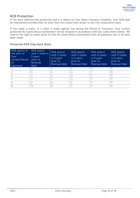### **NCB Protection**

If You have selected this protection and it is shown on Your Motor Insurance Schedule, Your NCB shall be maintained provided that no more than two claims have arisen in any five consecutive years.

If You make a claim, or a claim is made against You during the Period of Insurance, Your current protected No Claims Bonus entitlement will be reduced in accordance with Our scale shown below. We reserve the right to retain proof of Your No Claims Bonus entitlement until all payments due to Us have been made.

### *Protected NCB Step-back Rules*

| NCB (years) at<br>the start of<br>Your<br>current Period<br>0f<br>Insurance | NCB (years)<br>with 1 claim in<br>5 years<br>prior to<br>Renewal<br>Date | NCB (years)<br>with 2 claims<br>in 5 years<br>prior to<br><b>Renewal Date</b> | NCB (years)<br>with 3 claims<br>in 5 years<br>prior to<br><b>Renewal Date</b> | NCB (years)<br>with 4 claims<br>in 5 years<br>prior to<br><b>Renewal Date</b> | NCB (years)<br>with 5 claims<br>in 5 years<br>prior to<br><b>Renewal Date</b> |
|-----------------------------------------------------------------------------|--------------------------------------------------------------------------|-------------------------------------------------------------------------------|-------------------------------------------------------------------------------|-------------------------------------------------------------------------------|-------------------------------------------------------------------------------|
|                                                                             | 4                                                                        |                                                                               |                                                                               |                                                                               |                                                                               |
|                                                                             | 5                                                                        |                                                                               |                                                                               |                                                                               | $\Omega$                                                                      |
|                                                                             | 6                                                                        | h                                                                             | 4                                                                             |                                                                               | 0                                                                             |
|                                                                             |                                                                          |                                                                               | 5                                                                             |                                                                               | O                                                                             |
|                                                                             | 8                                                                        |                                                                               | 6                                                                             |                                                                               | $\Omega$                                                                      |
| $9+$                                                                        | $9+$                                                                     | $9+$                                                                          |                                                                               |                                                                               |                                                                               |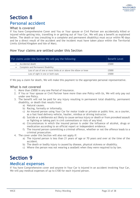### **Personal accident**

### **What is covered**

If You have Comprehensive Cover and You or Your spouse or Civil Partner are accidentally killed or injured while getting into, travelling in or getting out of Your Car, We will pay a benefit as explained below. The death or loss (resulting in a complete and permanent disability) must occur within 90 days and be a direct result of the accident and the incident must have taken place within the Territorial Limits (United Kingdom and Isle of Man).

### **How Your claims are settled under this Section**

| For claims under this Section We will pay the following:       | <b>Benefit Level</b> |
|----------------------------------------------------------------|----------------------|
| Accidental death                                               | £5000                |
| Complete and Permanent Disability:<br>$\bullet$                |                      |
| Loss of use of one or more limbs at or above the elbow or knee | £5000                |
| Loss of sight in one or both eyes                              | £5000                |

If We pay a claim for death, We will make this payment to the appropriate personal representative.

### **What is not covered**

- 1. More than £5000 in any one Period of Insurance.
- 2. If You or Your spouse or Civil Partner have more than one Policy with Us, We will only pay out under one Policy.
- 3. The benefit will not be paid for any injury resulting in permanent total disability, permanent disability, or death that results from:
	- a) Natural causes.
	- b) Racing, formally or informally.
	- c) An insured person using Your Car for motor trade or private or public hire, as a courier, as a fast food delivery vehicle, haulier, minibus or driving instructor.
	- d) Suicide or a deliberate act likely to cause serious injury or death or from provoked assault or fighting or taking part in civil commotions or riots of any kind.
	- e) Circumstances in which the insured person is under the influence of alcohol, drugs or medication according to an official report or independent evidence.
	- f) The insured person committing a criminal offence, whether or not the offence leads to a criminal prosecution.
- 4. The cover under this Section will also not apply if:
	- a) The injured person is less than 21 years of age or 70 years and over at the time of the accident.
	- b) The death or bodily injury is caused by disease, physical sickness or disability.
	- c) Where the person was not wearing a seatbelt when they were required to by law.

# **Section 9**

### **Medical expenses**

If You have Comprehensive cover and anyone in Your Car is injured in an accident involving Your Car, We will pay medical expenses of up to £100 for each injured person.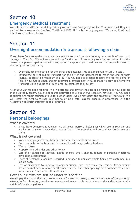

### **Emergency Medical Treatment**

We will pay the NHS their cost in providing You with any Emergency Medical Treatment that they are entitled to recover under the Road Traffic Act 1988. If this is the only payment We make, it will not affect Your No Claims Bonus.

# **Section 11 Overnight accommodation & transport following a claim**

If You have Comprehensive cover and are unable to continue Your journey as a result of loss of or damage to Your Car, We will arrange and pay for the cost of protecting Your Car and taking it to the nearest competent repairer. We will also pay for transport to get the driver and passengers home or to their original destination or;

- Overnight accommodation for the driver and passengers up to a maximum of £150 in total.
- Refund the cost of public transport for the driver and passengers to reach the end of their journey, subject to a maximum of £150. You will need to produce receipts in order to claim for this. If Your Car is stolen and not recovered, arrangements will be made to provide alternative transport up to a value of £150 in order to complete the journey.

After Your Car has been repaired, We will arrange and pay for the cost of delivering it to Your address in the United Kingdom. You are of course permitted to use Your own repairer, however, You will need to submit two repair estimates to Us for authorisation, which may delay the progress of Your claim. We will retain the right to salvage Your Car following a total loss for disposal in accordance with the Association of British Insurers' code of practice.

# **Section 12 Personal belongings**

### **What is covered**

If You have Comprehensive cover We will cover personal belongings which are in Your Car and are lost or damaged by accident, Fire or Theft. The most that will be paid is £150 for any one claim.

### **What is not covered**

- Money, stamps, jewellery, tickets, vouchers, documents or securities.
- Goods, samples or tools carried in connection with any trade or business.
- Wear and tear.
- Property insured under any other Policy.
- Loss of or damage to laptops, mobile phones, smart phones, tablets or portable electronic navigational equipment.
- Theft of Personal Belongings if carried in an open top or convertible Car unless contained in a locked boot.
- Loss of or damage to Personal Belongings arising from Theft while the ignition Key or similar device has not been removed or all doors, windows and other openings have not been closed and locked whilst Your Car is left unattended.

### **How Your claims are settled under this Section**

We will pay the cost of the item less an amount for wear and tear, to You or the owner of the property. We may at Our discretion, require documentary evidence to substantiate Your claim and/or may require a sight of the damaged item.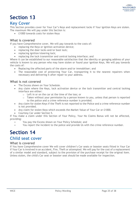

### **Key Cover**

This Section provides cover for Your Car's Keys and replacement locks if Your ignition Keys are stolen. The maximum We will pay under this Section is:

• £1000 towards costs for stolen Keys

### **What is covered**

If you have Comprehensive cover, We will pay towards to the costs of:

- replacing the Keys or ignition activation device;
- replacing the door locks and/or boot lock;
- replacing ignition/steering lock;
- replacing the lock transmitter and central locking interface; and

Where it can be established to our reasonable satisfaction that the identity or garaging address of your vehicle is known to any person who may have stolen or found your ignition Keys, We will pay towards the costs of:

- Replacing the affected parts of the alarm and/or immobiliser; and
- The reasonable cost of protecting Your Car, transporting it to the nearest repairers when necessary and delivering it after repair to your address.

### **What is not covered**

- The Excess shown on Your Schedule.
- Any claim where the Keys, lock activation device or the lock transmitter and central locking interface are either:
	- o Left in or on the car at the time of the loss; or
	- $\circ$  Taken without your permission by a person known to you, unless that person is reported to the police and a crime reference number is provided.
- Any claim for stolen Keys if the Theft is not reported to the Police and a crime reference number is not provided.
- Any claim for stolen Keys which exceeds the Market Value of Your Car or £1000.
- Courtesy Car under Section 5.

If You make a claim under this Section of Your Policy, Your No Claims Bonus will not be affected, providing:

- You pay the Excess shown on Your Policy Schedule; and
- You report the incident to the police and provide Us with the crime reference number.

# **Section 14**

### **Child seat cover**

### **What is covered**

If You have Comprehensive cover We will cover children's Car seats or booster seats fitted in Your Car if Your Car is involved in an accident, Fire, Theft or attempted. We will pay for the cost of a replacement of a similar model and standard, subject to the provision of the purchase receipt for the original item. Unless stolen, the child's Car seat or booster seat should be made available for inspection.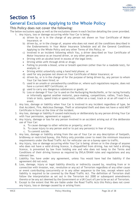

### **General Exclusions Applying to the Whole Policy**

### **This Policy does not cover the following:**

The below exclusions apply as well as the exclusions shown in each Section detailing the cover provided.

- 1. Any injury, loss or damage occurring while Your Car is being:
	- a) driven by or is in the charge of any person not shown on Your Certificate of Motor Insurance; or
	- b) driven by, or in the charge of, anyone who does not meet all the conditions described in the Endorsements in Your Motor Insurance Schedule and all the General Conditions Applying to the Whole Policy and any other Terms of this Policy; or
	- c) Involved in an incident following which You, a driver described on Your Certificate of Motor Insurance as an insured driver, or any other person are:
	- Driving with an alcohol level in excess of the legal limit;
	- Driving while unfit through drink or drugs;
	- Failing to provide a blood, urine or breath specimen (other than for a roadside test), for analysis; or
	- Driving whilst unlawfully using a hand held phone; or
	- d) used for any purpose not shown on Your Certificate of Motor Insurance; or
	- e) driven by, or is in the charge of for the purpose of being driven by, any person to whom Your Car has been hired; or
	- f) used in an unsafe or unroadworthy condition or, where such regulations require, does not have a current MOT Certificate; or
	- g) used to carry any dangerous substances or goods; or
	- h) Loss or damage if Your Car is used on the Nurburgring Nordschleife, or for racing formally or informally against another motorist, pace-making, competitions, rallies, Track Days, trials or tests, speed trials or speed tests, either on a road, track or at an off-road 4 x 4 event.
- 2. Any loss, damage or liability when Your Car is involved in any incident regardless of type, be that Accident, Fire, Malicious Damage, Theft or attempted theft and does not have a valid MOT Certificate in force at the time of the incident.
- 3. Any loss, damage or liability if caused maliciously or deliberately by any person driving Your Car with Your permission, agreement or support.
- 4. Any injury, damage or loss for any person involved in an accident arising out of the deliberate use of Your Car:
	- a. To cause damage to other vehicles or property; and/or
	- b. To cause injury to any person and/or to put any person(s) in fear of injury.
	- c. To commit suicide.
- 5. Any loss, damage or liability arising from the use of Your Car on any description of footpath, bridleway or restricted byway, this Policy only provides cover to meet the minimum insurance requirements under the Road Traffic Act for vehicular use on a byway open to traffic.
- 6. Any injury, loss or damage occurring while Your Car is being: driven or in the charge of anyone who does not have a valid driving licence, is disqualified from driving, has not held a driving licence, is prevented by law from holding one and who does not keep to the Terms and Conditions of their driving licence as required by DVLA/DVANI rules and regulations and any relevant law.
- 7. Liability You have under any agreement, unless You would have had the liability if the agreement did not exist.
- 8. Loss, damage, injury or legal liability directly or indirectly caused by, resulting from or in connection with invasion, war, revolution or any act of Terrorism regardless of any other cause or event contributing concurrently or in any other sequence to the loss, except where such liability is required to be covered by the Road Traffic Act. The definition of Terrorism shall follow the interpretation as set out in the Terrorism Act 2000 or subsequent amendments thereto or be any act deemed by the Government or a UK Court of Law to be an act of Terrorism.
- 9. Except to the extent that We are liable under the Road Traffic Acts this Policy does not cover any injury, loss or damage caused by or arising from: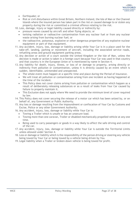

- Earthquake; or
- Riot or civil disturbance within Great Britain, Northern Ireland, the Isle of Man or the Channel Islands where the insured person has taken part in the riot or caused damage to or stolen any property during the riot or committed a criminal offence relating to the riot.

10. Loss, damage, injury or legal liability caused directly or indirectly by:

- pressure waves caused by aircraft and other flying objects; or
- ionising radiation or radioactive contamination from any nuclear fuel or from any nuclear waste arising from burning nuclear fuel; or
- the radioactive, poisonous, explosive or other dangerous properties of any explosive nuclear equipment or part of that equipment.
- 11. Any accident, injury, loss, damage or liability arising while Your Car is in a place used for the take-off, landing, parking or movement of aircraft, including the associated service roads, refuelling areas and ground equipment parking areas.
- 12. Any decision or action of a court outside the United Kingdom or the Isle of Man, unless the decision is made or action is taken in a foreign court because Your Car was used in that country and that country is in the European Union or is mentioned by name in Section 4.
- 13. Any liability for death, injury, illness, or loss of or damage to property, arising directly or indirectly from pollution or contamination, unless it is directly caused by an event which is sudden, identifiable, unintended and unexpected.
	- The whole event must happen at a specific time and place during the Period of Insurance.
	- We will treat all pollution or contamination arising from one incident as having happened at the time of the incident.
	- This Policy does not cover claims arising from pollution or contamination which happen as a result of deliberately releasing substances or as a result of leaks from Your Car caused by failure to properly maintain it.
	- This Exclusion does not apply where We need to provide the minimum level of cover required by law.
- 14. This Policy does not cover securing the release of a motor car which has been seized by, or on behalf of, any Government or Public Authority.
- 15. Any loss or damage resulting from the impoundment or confiscation of Your Car by Customs and Excise, Police or any other Government Authority.
- 16. Any accident, injury, loss, damage or liability while Your Car is:
	- Towing a Trailer which is unsafe or has an unsecure load.
	- Towing more than one caravan, Trailer or disabled mechanically propelled vehicle at any one time.
	- Being used to carry passengers or goods in a way likely to affect the safe driving and control of the car.
- 17. Any accident, injury, loss, damage or liability while Your Car is outside the Territorial Limits unless allowed under Section 4.
- 18. Loss or damage or liability which is the responsibility of the person driving or steering any vehicle being towed by Your Car or being towed by a vehicle being driven by You.
- 19. Legal liability when a Trailer or broken-down vehicle is being towed for profit.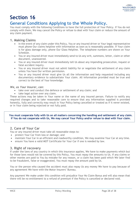

## **General Conditions Applying to the Whole Policy.**

You must comply with the following Conditions to have the full protection of Your Policy. If You do not comply with them, We may cancel the Policy or refuse to deal with Your claim or reduce the amount of any claim payment.

### **1. Making Claims**

- In the event of any claim under this Policy, You or any insured driver or Your legal representative must phone Our claims helpline with information as soon as is reasonably possible. If Your claim is for glass damage only, phone Our Glass Helpline. The telephone numbers are shown on Your Schedule.
- You or any insured driver must immediately send to Us any writ, summons, letter, claim or other document, unanswered.
- You or any insured driver must immediately tell Us about any impending prosecution, inquest or fatal accident inquiry.
- You or any insured driver must not admit liability for or negotiate the settlement of any claim unless You have Our written permission.
- You or any insured driver must give Us all the information and help requested including any documentary evidence to substantiate Your claim. All information provided must be true and correct to the best of Your knowledge.

### *We, as Your Insurer, can:*

- take over and conduct the defence or settlement of any claim; and
- take legal action over any claim.

These actions may be taken in Your name or the name of any insured person. Failure to notify any required changes and to take reasonable care to ensure that any information supplied is provided honestly, fully and correctly may result in Your Policy being cancelled or treated as if it never existed, or in Your claim being rejected or not fully paid.

**You must cooperate fully with Us on all matters concerning the handling and settlement of any claim. If You do not cooperate with Us, We may cancel Your Policy and/or refuse to deal with Your claim.**

### **2. Care of Your Car**

You or any insured driver must take all reasonable steps to:

- protect Your Car from loss or damage; and
- maintain Your Car in an efficient and roadworthy condition, We may examine Your Car at any time.
- ensure You have a valid MOT Certificate for Your Car if one is needed by law.

### **3. Right of recovery**

If under the laws of any country in which this insurance applies, We have to make payments which but for those laws would not be covered by this Policy, You must repay the amounts to Us. If any claims or other monies are paid to You by mistake for any reason, or a claim has been paid which We later find to be fraudulent, false or exaggerated, You must repay the amount paid by Us.

You or the person who caused the accident must also repay Us any money We have to pay because of any agreement We have with the Motor Insurers' Bureau.

Any payment We make under this condition will prejudice Your No Claim Bonus and will also mean that there will be no entitlement to a refund of premium if the Policy is cancelled or declared void.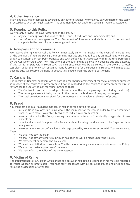

### **4. Other insurance**

If any liability, loss or damage is covered by any other insurance, We will only pay Our share of the claim in accordance with our legal liability. This condition does not apply to Section 8 - Personal Accident.

### **5. Keeping to this Policy**

We will only provide the cover described in this Policy if:

- anyone claiming cover has kept to all its Terms, Conditions and Endorsements; and
- the information You gave on Your Statement of Insurance and declarations is correct and complete to the best of your knowledge and belief.

### **6. Non-payment of premiums**

We reserve the right to cancel this Policy immediately on written notice in the event of non-payment of the premium. If You are paying the premiums monthly and You fail to pay an instalment when due, or fail to maintain a Direct Debit Mandate and such default is not corrected within the time permitted by the Consumer Credit Act 1974, the whole of the outstanding balance will become due and payable. If this sum is not paid within seven days, the insurance cover will be cancelled. In the event of a total loss claim under this Policy, all remaining monthly premiums for the Period of Insurance will immediately become due. We reserve the right to deduct this amount from the claim's settlement.

### **7. Car sharing**

The receipt of financial contributions as part of a car-sharing arrangement for social or similar purposes in respect of the carriage of passengers will not be regarded as the carriage of passengers for hire or reward (or the use of the Car for hiring) provided that:

- The Car is not constructed or adapted to carry more than seven passengers (excluding the driver).
- The passengers are not being carried in the course of a business of carrying passengers.
- The total contributions received for the journey do not involve an element of profit.

### **8. Fraud**

You must not act in a fraudulent manner. If You or anyone acting for You:

- mislead Us in any way, including who is the main user of the car, in order to obtain insurance from us, with more favourable Terms or to reduce Your premium; or
- make a claim under the Policy knowing the claim to be false or fraudulently exaggerated in any respect; or
- submit a document in support of a Policy or claim knowing the document to be forged or false in any respect; or

• make a claim in respect of any loss or damage caused by Your wilful act or with Your connivance. Then:

- We shall not pay the claim.
- We shall not pay any other claim which has been or will be made under the Policy.
- We may cancel or declare the Policy void.
- We shall be entitled to recover from You the amount of any claim already paid under the Policy.
- We shall not make any return of premium.
- We may inform the Police of the circumstances.

### **9. Victim of Crime**

The circumstances of any claim which arises as a result of You being a victim of crime must be reported to Police as soon as practicable. You must fully cooperate with all resulting Police enquiries and any resulting prosecution of offenders.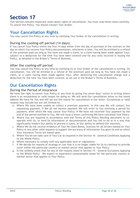

This Section contains important notes about rights of cancellation. You must read these notes carefully. To cancel this Policy, You should contact Your broker.

### **Your Cancellation Rights**

You may cancel this Policy at any time by notifying Your broker of the cancellation in writing.

### **During the cooling-off period (14 days)**

If You cancel Your Policy within the first 14 days either from the day of purchase of the contract or the day on which You receive Your Policy documentation, whichever is later, You will be entitled to a refund of the premium paid (as long as You have not made a claim, or a claim having been made against You), subject to a deduction for the time You have been covered and for any costs incurred in issuing the Policy, as detailed in the Broker's Terms of Business.

### **After the cooling-off period**

You may cancel this Policy at any time by notifying Us or Your broker of the cancellation in writing. On cancellation, You will be entitled to a refund of the premium paid (as long as You have not made a claim, or a claim having been made against You), after deducting the cancellation charge and a deduction for the time You have been covered, as set out in the Broker's Terms of Business.

## **Our Cancellation Rights**

### **During the Period of Insurance**

We have the right to cancel Your Policy at any time by giving You seven days' notice in writing where there is an exceptional or valid reason for doing so. We will send Our cancellation letter to the latest address We have for You and will set out the reason for cancellation in Our letter. Exceptional or valid reasons may include but are not limited to:

- a. Where We have been unable to collect a premium payment. In this case We will contact You requesting payment. If We do not receive payment We will write to You notifying a period for payment, after which We may cancel Your Policy. If We have not received Your payment by the end of the period notified to You, We will issue a letter confirming We have cancelled Your Policy.
- b. Where You are required in accordance with the Terms of this Policy Wording document to cooperate with Us, or send Us information or documentation and You fail to do so in a way that significantly hinders Our ability to process a claim, or Our ability to defend Our interests.
- c. Where We do not receive evidence of Your No Claim Bonus, licences for all drivers named on Your Policy or any other valid requests to support the accuracy of information You gave Us and on which Your insurance Terms are based upon.
- d. Where You do not take care of Your Car as required in the Section 16 General Conditions Applying to the Whole Policy.
- e. Where necessary to comply with any applicable laws or regulations.
- f. If We decide for reasons of strategy or cost that it is no longer viable for Us to continue to provide cover within the particular country or market sector that applies to Your Policy.
- g. In the unlikely event that for any of the reasons listed in Section 15 General Exclusions Applying to the Whole Policy - We expect to experience unsustainable losses for the particular country or market sector that applies to Your Policy.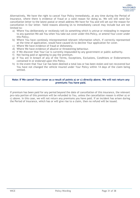Alternatively, We have the right to cancel Your Policy immediately, at any time during the Period of Insurance, where there is evidence of fraud or a valid reason for doing so. We will still send Our cancellation letter to the latest postal or email address We have for You and will set out the reason for cancellation in Our letter. Valid reasons allowing Us to immediately cancel may include but are not limited to:

- a) Where You deliberately or recklessly tell Us something which is untrue or misleading in response to any question We ask You when You take out cover under this Policy, or amend Your cover under this Policy.
- b) Where You have carelessly misrepresented relevant information which, if correctly represented at the time of application, would have caused Us to decline Your application for cover.
- c) Where We have evidence of fraud or dishonesty.
- d) Where We have evidence of abusive or threatening behaviour.
- e) If We discover that Your Car is currently impounded by any government or public authority.
- f) Not having paid or agreeing to pay the premium.
- g) If You are in breach of any of the Terms, Exceptions, Exclusions, Conditions or Endorsements contained in or endorsed upon this Policy.
- h) In the event that Your Car has been deemed a total loss or has been stolen and not recovered but You have not changed the vehicle insured under Your Policy within 14 days of the claim being settled.

### **Note: If We cancel Your cover as a result of points a) or c) directly above, We will not return any premiums You have paid.**

If premium has been paid for any period beyond the date of cancellation of this insurance, the relevant pro-rata portion of this premium will be refunded to You, unless the cancellation reason is either a) or c) above. In this case, we will not return any premiums you have paid. If an incident has arisen during the Period of Insurance, which has or will give rise to a claim, then no refund will be issued.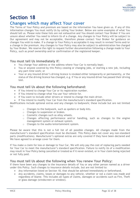

### **Changes which may affect Your cover**

The Terms of Your Policy and premium are based on the information You have given us. If any of this information changes You must notify Us by calling Your broker. Below are some examples of what You should tell us. Please note these lists are not exhaustive and You should contact Your Broker if You are unsure about whether You need to inform Us of a change. Any changes to Your Policy will be subject to Our agreement and may not be acceptable, therefore please contact Your Broker for guidance on changes You wish to make. If a change to Your Policy is acceptable it may result in revised Terms and/or a change in the premium. Any changes to Your Policy may also be subject to administration fee charged by Your Broker. We reserve the right to request further documentation following a change made to Your Policy, such as proof ownership and/or confirmation of the registered keeper.

### **You must tell Us immediately if:**

- You change Your address or the address where Your Car is normally kept;
- You or anyone covered by this Policy ceasing or changing jobs, or starting a new job, including any part-time work; or
- Your or any insured driver's driving licence is revoked either temporarily or permanently, or the status of the driving licence has changed, e.g. if You or any insured driver has passed their driving test.

### **You must tell Us about the following beforehand:**

- If You intend to change Your Car or its registration number.
- If You intend to change what You use Your vehicle for.
- If You want to include other drivers or intend to change the main driver.
- If You intend to modify Your Car from the manufacturer's standard specification.

Modifications include optional extras and any changes to bodywork; these include but are not limited to:

- o Changes to the bodywork, such as spoilers or body kits.
- o Changes to suspension or brakes.
- o Cosmetic changes such as alloy wheels.
- $\circ$  Changes affecting performance and/or handling, such as changes to the engine management system or exhaust system.
- o Changes to the audio/entertainment system.

Please be aware that this is not a full list of all possible changes. All changes made from the manufacturer's standard specification must be disclosed. This Policy does not cover any non-standard parts (modifications). Manufacturer's optional extras are only covered if they have been declared and We have agreed to arrange cover for them.

If You make a claim for loss or damage to Your Car, We will only pay the cost of replacing parts needed for Your Car to meet the manufacturer's standard specification. Failure to notify Us of a modification may result in Your Policy being cancelled or treated as if it never existed, or in Your claim being rejected or not fully paid.

### **You must tell Us about the following when You renew Your Policy:**

If there have been any changes to the insurance details of You or any other person named as a driver under this Policy. Such changes to insurance details include, but are not limited to:

- Any information listed on Section 18, that should be advised immediately or beforehand.
- Any accidents, claims, losses or damages to any vehicle, whether or not a claim was made and regardless of blame. This includes all types of claims, damages or accidents such as Fire, Theft or glass damage (windscreen or window).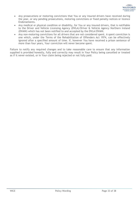- Any prosecutions or motoring convictions that You or any insured drivers have received during the year, or any pending prosecutions, motoring convictions or fixed penalty notices or licence Endorsements.
- Any medical or physical condition or disability, for You or any insured drivers, that is notifiable to the Driver and Vehicle Licensing Agency (DVLA)/Driver & Vehicle Agency Northern Ireland (DVANI) which has not been notified to and accepted by the DVLA/DVANI.
- Any non-motoring convictions for all drivers that are not considered spent. A spent conviction is one which, under the Terms of the Rehabilitation of Offenders Act 1974, can be effectively ignored after a specified amount of time. If, however You have received a prison sentence of more than four years, Your conviction will never become spent.

Failure to notify any required changes and to take reasonable care to ensure that any information supplied is provided honestly, fully and correctly may result in Your Policy being cancelled or treated as if it never existed, or in Your claim being rejected or not fully paid.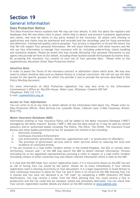### **General Information**

### **Data Protection Notice**

This Data Protection Notice explains how We may use Your details. It tells You about the registers and databases that We and others have in place, which help to detect and prevent fraudulent applications and claims, and must be shown to any party related to the insurance. All phone calls relating to applications and claims may be monitored and recorded and the recordings used for fraud prevention and detection, training and quality control purposes. Your privacy is important to Us and We assure You that We will respect Your personal information. We will share information with other insurers and We will use Your information to manage Your insurance with Us, including underwriting, claims handling and statistical analysis. Please be aware this may include disclosing Your personal information to any agents who provide services on Our behalf, including those located outside the European Economic Area. By accepting this insurance You consent to such use of Your personal data. Please refer to the supplementary document titled "Data Protection Notice"

### *Sensitive Data*

In order to assess the Terms of the insurance contract or administer claims which arise, We may also need to collect sensitive data such as medical history or criminal convictions. We will not use this data except for the specific purpose for which You provide it and to provide the services described in this Policy Wording document.

For more information on Data Protection legislation You may also write to the Information Commissioner's Office at: Wycliffe House, Water Lane, Wilmslow, Cheshire SK9 5AF. Telephone: 0303 123 1113 E-mail: [casework@ico.org.uk](mailto:casework@ico.org.uk)

### *Access to Your Information*

You can write to Us at any time to obtain details of the information held about You. Please write to: Data Protection Officer, Rock Services Ltd, Lysander House, Catbrain Lane, Cribbs Causeway, Bristol, BS10 7TQ.

### *Motor Insurance Database (MID)*

Information relating to Your insurance Policy will be added to the Motor Insurance Database ("MID") managed by the Motor Insurers' Bureau ("MIB"). MID and the data stored on it may be used by certain statutory and/or authorised bodies including The Police, The DVLA, The DVANI, The Insurance Fraud Bureau and other bodies permitted by law for purposes not limited to but including:

- i. Electronic Licensing
- ii. Continuous Insurance Enforcement
- iii. Law enforcement (prevention, detection, apprehension and / or prosecution of offenders)
- iv. The provision of government services and/or other services aimed at reducing the level and incidence of uninsured driving

If You are involved in a road traffic incident (either in the United Kingdom, the EEA or certain other territories), insurers and / or the MIB may search the MID to obtain relevant information. Persons (including his or her appointed representatives) pursuing a claim in respect of a road traffic incident (including citizens of other countries) may also obtain relevant information which is held on the MID.

It is vital that the MID holds Your correct registration mark. If it is incorrectly shown on the MID You are at risk of having Your Car seized by the police. Please let Us know immediately if Your vehicle registration mark is showing incorrectly on Your documents. It is a legal requirement in Great Britain to have continuous insurance in place for Your Car and if there is no record on the MID showing Your Car is insured and You have not declared it as "off road" by completing a SORN (Statutory Off Road Notification), You may receive a letter from the DVLA advising that You could receive a fine or prosecution and the Car could also be clamped, seized and ultimately destroyed. You can check that Your correct registration number details are shown on the MID website at [www.askmid.com.](http://www.askmid.com/)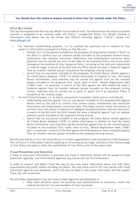

#### **You should show this notice to anyone insured to drive Your Car covered under this Policy.**

#### *DVLA My Licence*

This Section explains how We may use details You provide Us with. You should show this notice to anyone covered or proposed to be covered under this Policy / prospective Policy. For details relating to information held about You by the Driver and Vehicle Licensing Agency ("DVLA") please visit [www.dvla.gov.uk.](http://www.dvla.gov.uk/)

- I. For Insurance underwriting purposes, i.e. to examine the potential risk in relation to Your (and/or a third party's) prospective Policy so that We can:
	- o Provide Your (or any person included on the proposal) Driving Licence Number ("DLN") to the DVLA to confirm Your (or relevant person included on the proposal) licence status, entitlement and relevant restriction information and Endorsement/conviction data. Searches may be carried out prior to the date of the insurance Policy and at any point throughout the duration of Your insurance Policy, including at the mid-term adjustment or renewal stage. A search of the DLN with the DVLA should not show a footprint against Your (or another relevant person included on the proposal) driving licence.
	- $\circ$  Search Your (or any person included on the proposal) 'No Claims Bonus' details against a No Claims Bonus database ("NCB") to obtain information in relation to Your 'No Claims Bonus' entitlement. Such searches may be carried out against Your (or the relevant person included on the proposal) DLN, name, date of birth, Vehicle Registration Mark ("VRM") and / or postcode. A search of the DLN against the NCB should not show a footprint against Your (or another relevant person included on the proposal) driving licence. Searches may be carried out at point of quote and if an insurance Policy is incepted at the renewal stage.
- II. For Anti-Fraud Purposes, i.e. to detect and prevent fraudulent claims and/or activities by:
	- o Undertaking searches against Your (or any person included on the proposal) DLN against details held by the DVLA to confirm Your licence status, entitlement and restriction information and Endorsement/conviction data. This helps insurers check information to prevent fraud and reduce incidences of negligent misrepresentation and non-disclosure. A search of the DLN with the DVLA should not show a footprint against Your (or another relevant person included on the proposal) driving licence.
	- o Search Your (or any person included on the proposal) 'No Claims Bonus' details against a No Claims Bonus database ("NCB") to obtain information in relation to Your 'No Claims Bonus' entitlement. Such searches may be carried out against Your (or the relevant person included on the proposal) DLN, name, date of birth, Vehicle Registration Mark ("VRM") and / or postcode. A search of the DLN against the NCB should not show a footprint against Your (or another relevant person included on the proposal) driving licence.

We will pass details of Your 'No Claims Bonus' to certain organisations to be recorded on a NCB database. This will occur if information requires updating or correcting at any stage, and also at the renewal stage of Your Policy and upon or after the cancellation of Your Policy prior to the expiry date.

#### *Fraud Prevention and Detection*

If false or inaccurate information is provided and fraud is identified, details will be passed to fraud prevention agencies. Law enforcement agencies may access and use this information.

In order to prevent and detect fraud We may at any time share information about You with other organisations and public bodies including the police. We may check and/or file Your details with fraud prevention agencies and databases, and if You give Us false or inaccurate information and We suspect fraud, We will record this.

We and other organisations may also search these agencies and databases to:

• Help make decisions about the provision and administration of insurance, credit and related services for You and members of Your household.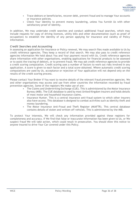

- Trace debtors or beneficiaries, recover debt, prevent fraud and to manage Your accounts or insurance policies.
- Check Your identity to prevent money laundering, unless You furnish Us with other satisfactory proof of identity.

In addition, We may undertake credit searches and conduct additional fraud searches, which may include requests for copy of driving licences, utility bills and other documentation (such as proof of occupation) to establish the identity of any person applying for insurance and validity of Policy information.

### *Credit Searches and Accounting*

In assessing an application for insurance or Policy renewal, We may search files made available to Us by credit reference agencies. They keep a record of that search. We may also pass to credit reference agencies information We hold about You and Your payment record with Us. Credit reference agencies share information with other organisations, enabling applications for financial products to be assessed or to assist the tracing of debtors, or to prevent fraud. We may ask credit reference agencies to provide a credit scoring computation. Credit scoring uses a number of factors to work out risks involved in any application. A score is given to each factor and a total score obtained. Where automatic credit scoring computations are used by Us, acceptance or rejection of Your application will not depend only on the results of the credit scoring process.

Please contact Your Broker if You want to receive details of the relevant fraud prevention agencies. We and other organisations may access and use from other countries the information recorded by fraud prevention agencies. Some of the registers We make use of are:

- The Claims and Underwriting Exchange (CUE). This is administered by the Motor Insurance Bureau (MIB). The CUE database is used by most United Kingdom insurers and holds details of most motor and household insurance claims.
- Insurance Hunter. This is a central insurance anti-fraud system to which other insurers also have access. This database is designed to combat activities such as identity theft and money laundering.
- The Motor Insurance Anti-Fraud and Theft Register (MIAFTR). This central database contains details of stolen and written off vehicles. This is administered by the MIB.

To protect Your interests, We will check any information provided against these registers for completeness and accuracy. If We find that false or inaccurate information has been given to Us, or We suspect fraud We will take action, which could result in prosecution. You should show this notice to anyone insured to drive Your Car covered under this Policy.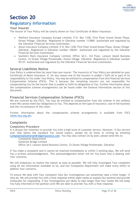### **Regulatory Information**

### **Your Insurer**

The insurer of Your Policy will be clearly shown on Your Certificate of Motor Insurance:

- Watford Insurance Company Europe Limited, P.O. Box 1338, First Floor Grand Ocean Plaza, Ocean Village, Gibraltar. Registered in Gibraltar number 112869. Authorised and regulated by the Gibraltar Financial Services Commission.
- Alwyn Insurance Company Limited, P.O. Box 1338, First Floor Grand Ocean Plaza, Ocean Village, Gibraltar. Registered in Gibraltar number 106261. Authorised and regulated by the Gibraltar Financial Services Commission.
- Southern Rock Insurance Company Limited, Office 3A-C, 3rd Floor, Leisure Island Business Centre, 23 Ocean Village Promenade, Ocean Village, Gibraltar. Registered in Gibraltar number 93137. Authorised and regulated by the Gibraltar Financial Services Commission.

### **Several Liabilities Notice**

Your Policy is underwritten by more than one insurer. The insurer(s) of Your Policy are detailed on your Certificate of Motor Insurance. If, for any reason one of the insurers is unable t fulfil all or part of its responsibility to You under Your Policy, You may be entitled to compensation from the Financial Services Compensation Scheme (FSCS). This is because the remaining insurers are not responsible for compensating You for the insurer that is unable to fulfil its obligations to You. Further information about the compensation scheme arrangements can be found under the General Information section of this document.

### **Financial Services Compensation Scheme (FSCS)**

We are covered by the FSCS. You may be entitled to compensation from the scheme in the unlikely event We cannot meet Our obligations to You. This depends on the type of insurance, size of the business and the circumstance of the claim.

Further information about the compensation scheme arrangements is available from FSCS [\(www.fscs.org.uk\)](http://www.fscs.org.uk/).

### **Complaints**

### *Complaints Procedure*

It is always Our intention to provide You with a high level of customer service. However, if Our service ever falls below the standard You would expect, please let Us know in writing by emailing [Complaints@SomersetBridgeInsurance.com.](mailto:Complaints@SomersetBridgeInsurance.com) You may also contact Us by post; please send this to:

Complaints Department

Somerset Bridge Limited

Office 3A-C Leisure Island Business Centre, 23 Ocean Village Promenade, Gibraltar.

If You make a complaint and it cannot be resolved immediately or within 3 working days, We will send You a written acknowledgement. This acknowledgement letter will let You know who is dealing with Your concerns.

We will endeavour to resolve the matter as soon as possible. We will fully investigate Your complaint using all the information available to Us, and Our Complaints Department will make every effort to address Your concerns.

To ensure We deal with Your complaint fully Our investigations can sometimes take a little longer. If they do, We will provide You with a final response within eight weeks or explain Our position and provide timescales for responding. If Our investigations are likely to take longer than four weeks We will keep You fully informed of the position until We are able to provide You with a final response.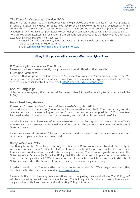

### *The Financial Ombudsman Service (FOS)*

Should We fail to offer You a final response within eight weeks of the initial date of Your complaint, or if You are not satisfied with Our response, You may refer the dispute to the Financial Ombudsman within six months of receiving Our final response letter. If you do not refer your complaint in time, the Ombudsman will not have our permission to consider your complaint and so will only be able to do so in very limited circumstances. For example, if the Ombudsman believes that the delay was as a result of exceptional circumstances. Their address is:

Financial Ombudsman Service, South Quay Plaza, 183 Marsh Wall London, E14 9SR Tel: 0800 023 4567 or 0300 123 9 123 Email: [complaint.info@financial-ombudsman.org.uk](mailto:complaint.info@financial-ombudsman.org.uk)

#### **Nothing in this process will adversely affect Your rights of law.**

#### *If Your complaint concerns Your Broker*

Please contact Your broker directly using the contact details listed on their website.

#### *Customer Comments*

To ensure that We provide the kind of service You expect We welcome Your feedback in order that We can improve Our products and services. If You have any comments or suggestions about Our cover, services or any other feedback please email [info@SomersetBridgeInsurance.com.](mailto:info@SomersetBridgeInsurance.com)

### **Use of Language**

Unless otherwise agreed, the contractual Terms and other information relating to this contract will be in English.

### **Important Legislation**

#### *Consumer Insurance (Disclosure and Representations) Act 2012*

Under the Consumer Insurance (Disclosure and Representations) Act 2012, You have a duty to take reasonable care to answer all questions as fully and as accurately as possible. If You volunteer information which is over and above that requested, You must do so honestly and carefully.

You should check Your Statement of Insurance to ensure that all facts given are correct. It is an offence to make any false statement or withhold any information for the purpose of obtaining a Certificate of Motor Insurance.

Failure to answer all questions fully and accurately could invalidate Your insurance cover and could result in all or part of a claim not being paid.

#### *Deregulation Act 2015*

The Deregulation Act 2015 changed the way Certificates of Motor Insurance are treated. Previously, it was a requirement for a Certificate of Motor Insurance to be delivered to a motorist before their insurance was considered to be valid, this is no longer the case. There is now a greater reliance on the Motor Insurance Database (MID) for identifying that the relevant cover is in place for a motor vehicle. Prior to the Deregulation Act 2015, it was an offence for a motorist not to return their Certificate of Motor Insurance when the Period of Insurance ended, this is now longer necessary.

In order to confirm that You have effective motor insurance for Your Car, We strongly recommend that You check MID, which can be accessed at [www.askmid.com.](http://www.askmid.com/)

Please note that if You have any communications from Us regarding the cancellation of Your Policy, MID will be updated in line with such communication. The holding of a Certificate of Motor Insurance no longer evidences that You have a valid and existing Policy of insurance.